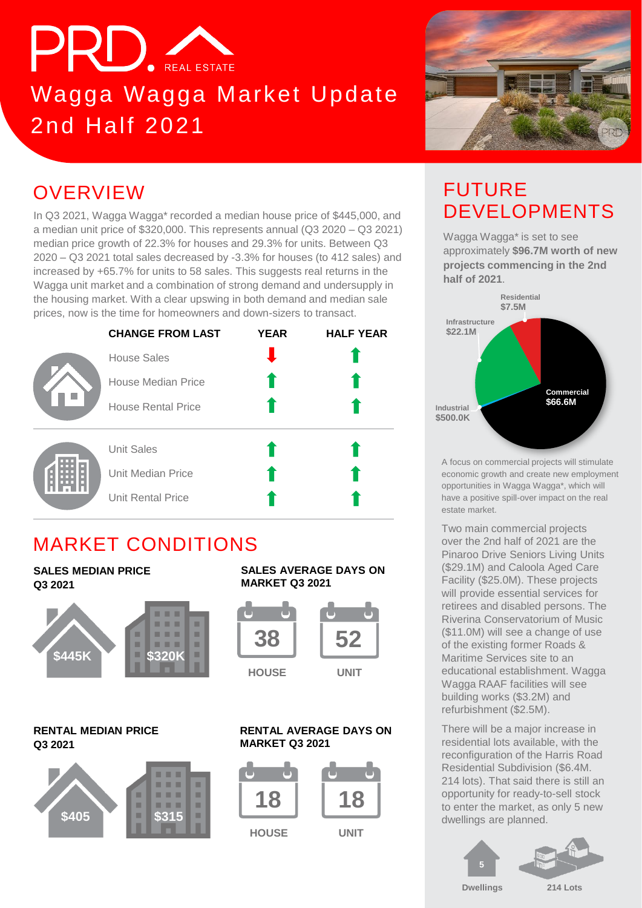

# Wagga Wagga Market Update 2nd Half 2021



## **OVERVIEW**

In Q3 2021, Wagga Wagga\* recorded a median house price of \$445,000, and a median unit price of \$320,000. This represents annual (Q3 2020 – Q3 2021) median price growth of 22.3% for houses and 29.3% for units. Between Q3 2020 – Q3 2021 total sales decreased by -3.3% for houses (to 412 sales) and increased by +65.7% for units to 58 sales. This suggests real returns in the Wagga unit market and a combination of strong demand and undersupply in the housing market. With a clear upswing in both demand and median sale prices, now is the time for homeowners and down-sizers to transact.



### MARKET CONDITIONS

#### **SALES MEDIAN PRICE Q3 2021**



#### **RENTAL MEDIAN PRICE Q3 2021**



#### **SALES AVERAGE DAYS ON MARKET Q3 2021**



#### **RENTAL AVERAGE DAYS ON MARKET Q3 2021**



## FUTURE DEVELOPMENTS

Wagga Wagga\* is set to see approximately **\$96.7M worth of new projects commencing in the 2nd half of 2021**.



A focus on commercial projects will stimulate economic growth and create new employment opportunities in Wagga Wagga\*, which will have a positive spill-over impact on the real estate market.

Two main commercial projects over the 2nd half of 2021 are the Pinaroo Drive Seniors Living Units (\$29.1M) and Caloola Aged Care Facility (\$25.0M). These projects will provide essential services for retirees and disabled persons. The Riverina Conservatorium of Music (\$11.0M) will see a change of use of the existing former Roads & Maritime Services site to an educational establishment. Wagga Wagga RAAF facilities will see building works (\$3.2M) and refurbishment (\$2.5M).

There will be a major increase in residential lots available, with the reconfiguration of the Harris Road Residential Subdivision (\$6.4M. 214 lots). That said there is still an opportunity for ready-to-sell stock to enter the market, as only 5 new dwellings are planned.

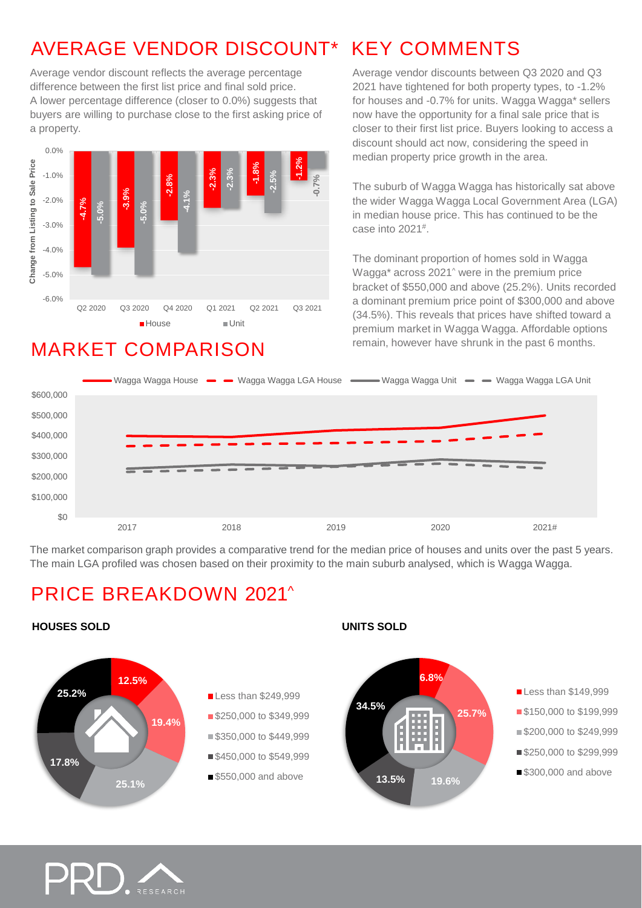## AVERAGE VENDOR DISCOUNT\* KEY COMMENTS

Average vendor discount reflects the average percentage difference between the first list price and final sold price. A lower percentage difference (closer to 0.0%) suggests that buyers are willing to purchase close to the first asking price of a property.



### MARKET COMPARISON

Average vendor discounts between Q3 2020 and Q3 2021 have tightened for both property types, to -1.2% for houses and -0.7% for units. Wagga Wagga\* sellers now have the opportunity for a final sale price that is closer to their first list price. Buyers looking to access a discount should act now, considering the speed in median property price growth in the area.

The suburb of Wagga Wagga has historically sat above the wider Wagga Wagga Local Government Area (LGA) in median house price. This has continued to be the case into 2021# .

The dominant proportion of homes sold in Wagga Wagga\* across 2021^ were in the premium price bracket of \$550,000 and above (25.2%). Units recorded a dominant premium price point of \$300,000 and above (34.5%). This reveals that prices have shifted toward a premium market in Wagga Wagga. Affordable options remain, however have shrunk in the past 6 months.



The market comparison graph provides a comparative trend for the median price of houses and units over the past 5 years. The main LGA profiled was chosen based on their proximity to the main suburb analysed, which is Wagga Wagga.

#### PRICE BREAKDOWN 2021^

#### **HOUSES SOLD UNITS SOLD**





**Less than \$149,999 \$150,000 to \$199,999 \$200,000 to \$249,999** ■ \$250,000 to \$299,999 **\$300,000 and above** 

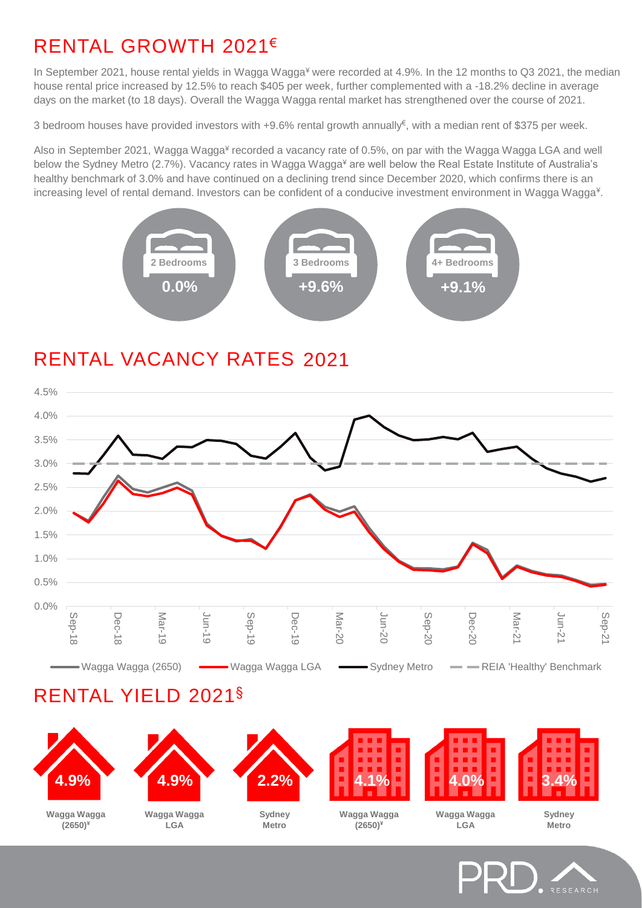## RENTAL GROWTH 2021€

In September 2021, house rental yields in Wagga Wagga<sup>¥</sup> were recorded at 4.9%. In the 12 months to Q3 2021, the median house rental price increased by 12.5% to reach \$405 per week, further complemented with a -18.2% decline in average days on the market (to 18 days). Overall the Wagga Wagga rental market has strengthened over the course of 2021.

3 bedroom houses have provided investors with +9.6% rental growth annually<sup>€</sup>, with a median rent of \$375 per week.

Also in September 2021, Wagga Wagga<sup>¥</sup> recorded a vacancy rate of 0.5%, on par with the Wagga Wagga LGA and well below the Sydney Metro (2.7%). Vacancy rates in Wagga Wagga<sup>\*</sup> are well below the Real Estate Institute of Australia's healthy benchmark of 3.0% and have continued on a declining trend since December 2020, which confirms there is an increasing level of rental demand. Investors can be confident of a conducive investment environment in Wagga Wagga<sup>¥</sup>.



### RENTAL VACANCY RATES 2021



#### RENTAL YIELD 2021§



**Wagga Wagga (2650)¥**



**Wagga Wagga LGA**



**Sydney Metro**



**Wagga Wagga (2650)¥**



**Wagga Wagga LGA**



**Sydney Metro**

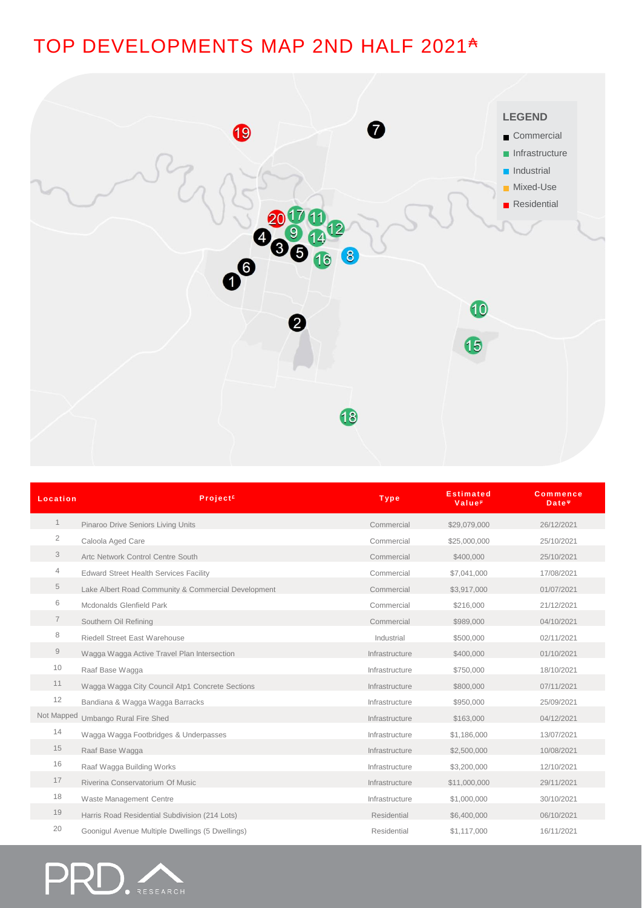## TOP DEVELOPMENTS MAP 2ND HALF 2021<sup>A</sup>



| Location       | Project <sup>£</sup>                                | <b>Type</b>    | <b>Estimated</b><br><b>Value</b> <sup>µ</sup> | <b>Commence</b><br>Date <sup>w</sup> |
|----------------|-----------------------------------------------------|----------------|-----------------------------------------------|--------------------------------------|
| 1              | Pinaroo Drive Seniors Living Units                  | Commercial     | \$29,079,000                                  | 26/12/2021                           |
| $\overline{2}$ | Caloola Aged Care                                   | Commercial     | \$25,000,000                                  | 25/10/2021                           |
| 3              | Artc Network Control Centre South                   | Commercial     | \$400,000                                     | 25/10/2021                           |
| 4              | <b>Edward Street Health Services Facility</b>       | Commercial     | \$7,041,000                                   | 17/08/2021                           |
| 5              | Lake Albert Road Community & Commercial Development | Commercial     | \$3,917,000                                   | 01/07/2021                           |
| 6              | Mcdonalds Glenfield Park                            | Commercial     | \$216,000                                     | 21/12/2021                           |
| $\overline{7}$ | Southern Oil Refining                               | Commercial     | \$989,000                                     | 04/10/2021                           |
| 8              | <b>Riedell Street East Warehouse</b>                | Industrial     | \$500,000                                     | 02/11/2021                           |
| $9$            | Wagga Wagga Active Travel Plan Intersection         | Infrastructure | \$400,000                                     | 01/10/2021                           |
| 10             | Raaf Base Waqqa                                     | Infrastructure | \$750,000                                     | 18/10/2021                           |
| 11             | Wagga Wagga City Council Atp1 Concrete Sections     | Infrastructure | \$800,000                                     | 07/11/2021                           |
| 12             | Bandiana & Wagga Wagga Barracks                     | Infrastructure | \$950,000                                     | 25/09/2021                           |
| Not Mapped     | Umbango Rural Fire Shed                             | Infrastructure | \$163,000                                     | 04/12/2021                           |
| 14             | Wagga Wagga Footbridges & Underpasses               | Infrastructure | \$1,186,000                                   | 13/07/2021                           |
| 15             | Raaf Base Waqqa                                     | Infrastructure | \$2,500,000                                   | 10/08/2021                           |
| 16             | Raaf Waqqa Building Works                           | Infrastructure | \$3,200,000                                   | 12/10/2021                           |
| 17             | Riverina Conservatorium Of Music                    | Infrastructure | \$11,000,000                                  | 29/11/2021                           |
| 18             | Waste Management Centre                             | Infrastructure | \$1,000,000                                   | 30/10/2021                           |
| 19             | Harris Road Residential Subdivision (214 Lots)      | Residential    | \$6,400,000                                   | 06/10/2021                           |
| 20             | Goonigul Avenue Multiple Dwellings (5 Dwellings)    | Residential    | \$1,117,000                                   | 16/11/2021                           |

![](_page_3_Picture_3.jpeg)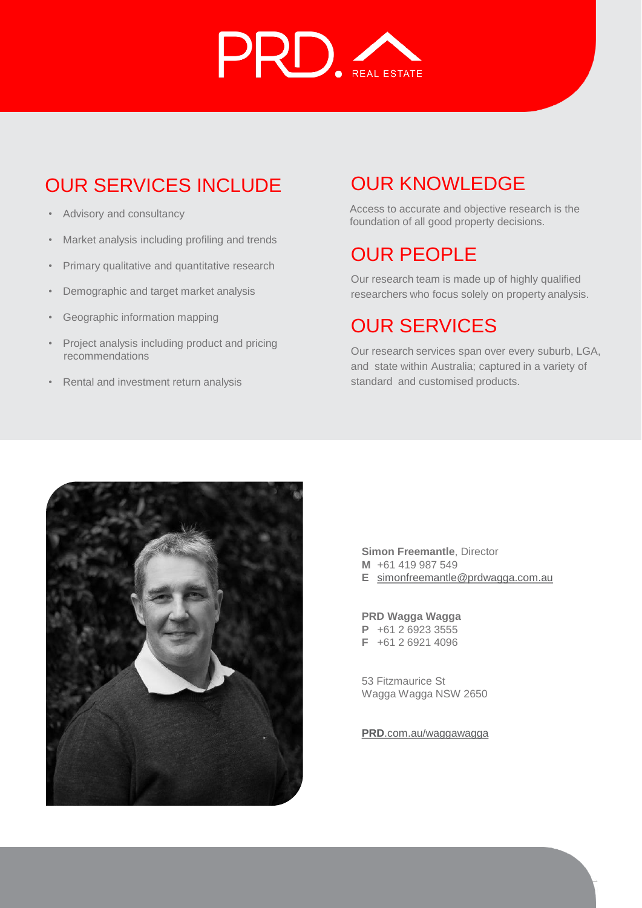![](_page_4_Picture_0.jpeg)

## OUR SERVICES INCLUDE

- Advisory and consultancy
- Market analysis including profiling and trends
- Primary qualitative and quantitative research
- Demographic and target market analysis
- Geographic information mapping
- Project analysis including product and pricing recommendations
- Rental and investment return analysis

## OUR KNOWLEDGE

Access to accurate and objective research is the foundation of all good property decisions.

#### OUR PEOPLE

Our research team is made up of highly qualified researchers who focus solely on property analysis.

### OUR SERVICES

Our research services span over every suburb, LGA, and state within Australia; captured in a variety of standard and customised products.

![](_page_4_Picture_15.jpeg)

**Simon Freemantle, Director M** +61 419 987 549 **E** [simonfreemantle@prdwagga.com.au](mailto:simonfreemantle@prdwagga.com.au)

#### **PRD Wagga Wagga**

**P** +61 2 6923 3555 **F** +61 2 6921 4096

53 Fitzmaurice St Wagga Wagga NSW 2650

**PRD**[.com.au/waggawagga](https://www.prd.com.au/waggawagga/)